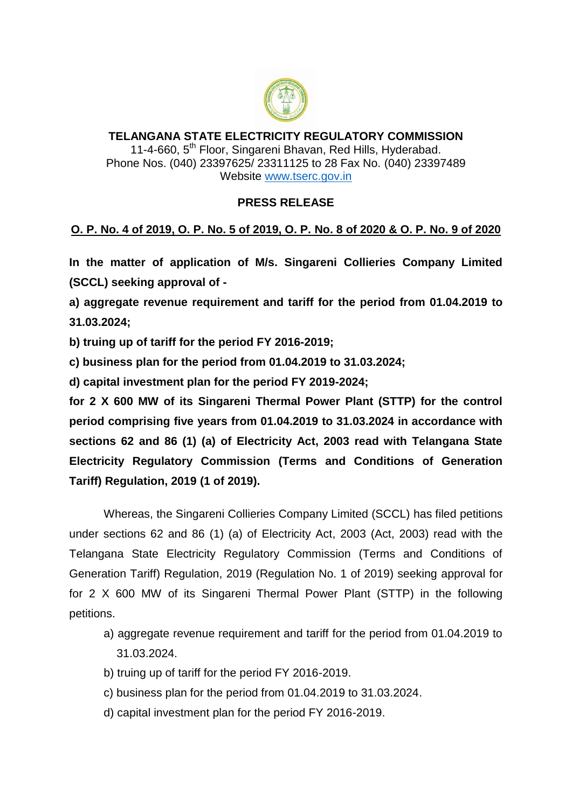

## **TELANGANA STATE ELECTRICITY REGULATORY COMMISSION** 11-4-660, 5<sup>th</sup> Floor, Singareni Bhavan, Red Hills, Hyderabad. Phone Nos. (040) 23397625/ 23311125 to 28 Fax No. (040) 23397489 Website [www.tserc.gov.in](http://www.tserc.gov.in/)

## **PRESS RELEASE**

## **O. P. No. 4 of 2019, O. P. No. 5 of 2019, O. P. No. 8 of 2020 & O. P. No. 9 of 2020**

**In the matter of application of M/s. Singareni Collieries Company Limited (SCCL) seeking approval of -**

**a) aggregate revenue requirement and tariff for the period from 01.04.2019 to 31.03.2024;**

**b) truing up of tariff for the period FY 2016-2019;**

**c) business plan for the period from 01.04.2019 to 31.03.2024;**

**d) capital investment plan for the period FY 2019-2024;**

**for 2 X 600 MW of its Singareni Thermal Power Plant (STTP) for the control period comprising five years from 01.04.2019 to 31.03.2024 in accordance with sections 62 and 86 (1) (a) of Electricity Act, 2003 read with Telangana State Electricity Regulatory Commission (Terms and Conditions of Generation Tariff) Regulation, 2019 (1 of 2019).**

Whereas, the Singareni Collieries Company Limited (SCCL) has filed petitions under sections 62 and 86 (1) (a) of Electricity Act, 2003 (Act, 2003) read with the Telangana State Electricity Regulatory Commission (Terms and Conditions of Generation Tariff) Regulation, 2019 (Regulation No. 1 of 2019) seeking approval for for 2 X 600 MW of its Singareni Thermal Power Plant (STTP) in the following petitions.

- a) aggregate revenue requirement and tariff for the period from 01.04.2019 to 31.03.2024.
- b) truing up of tariff for the period FY 2016-2019.
- c) business plan for the period from 01.04.2019 to 31.03.2024.
- d) capital investment plan for the period FY 2016-2019.